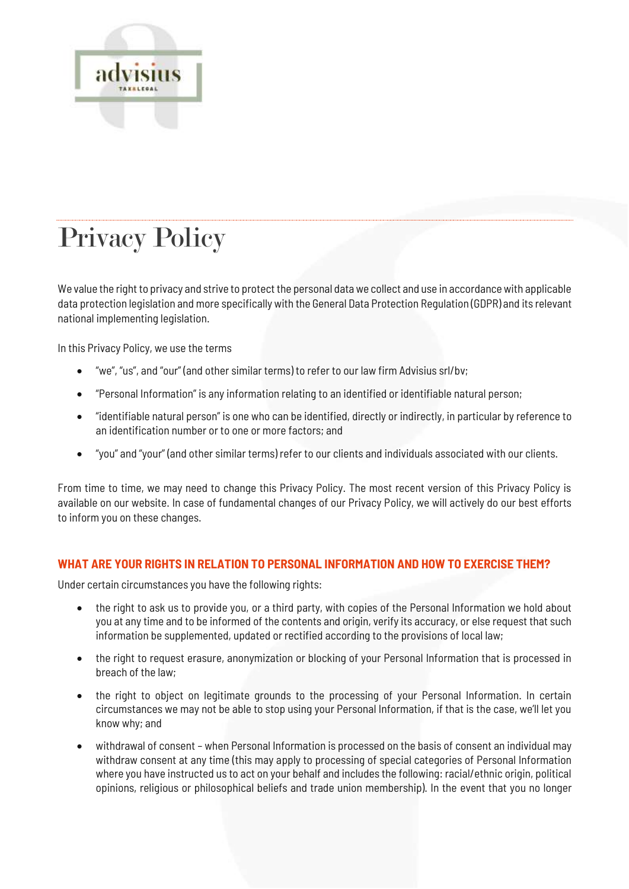

# Privacy Policy

We value the right to privacy and strive to protect the personal data we collect and use in accordance with applicable data protection legislation and more specifically with the General Data Protection Regulation (GDPR) and its relevant national implementing legislation.

In this Privacy Policy, we use the terms

- "we", "us", and "our" (and other similar terms) to refer to our law firm Advisius srl/bv;
- "Personal Information" is any information relating to an identified or identifiable natural person;
- "identifiable natural person" is one who can be identified, directly or indirectly, in particular by reference to an identification number or to one or more factors; and
- "you" and "your" (and other similar terms) refer to our clients and individuals associated with our clients.

From time to time, we may need to change this Privacy Policy. The most recent version of this Privacy Policy is available on our website. In case of fundamental changes of our Privacy Policy, we will actively do our best efforts to inform you on these changes.

# **WHAT ARE YOUR RIGHTS IN RELATION TO PERSONAL INFORMATION AND HOW TO EXERCISE THEM?**

Under certain circumstances you have the following rights:

- the right to ask us to provide you, or a third party, with copies of the Personal Information we hold about you at any time and to be informed of the contents and origin, verify its accuracy, or else request that such information be supplemented, updated or rectified according to the provisions of local law;
- the right to request erasure, anonymization or blocking of your Personal Information that is processed in breach of the law;
- the right to object on legitimate grounds to the processing of your Personal Information. In certain circumstances we may not be able to stop using your Personal Information, if that is the case, we'll let you know why; and
- withdrawal of consent when Personal Information is processed on the basis of consent an individual may withdraw consent at any time (this may apply to processing of special categories of Personal Information where you have instructed us to act on your behalf and includes the following: racial/ethnic origin, political opinions, religious or philosophical beliefs and trade union membership). In the event that you no longer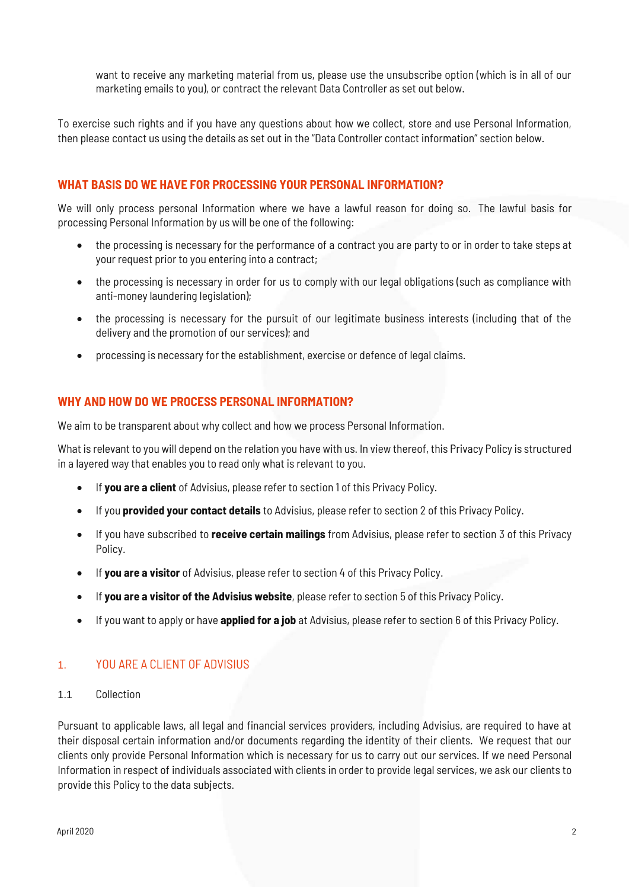want to receive any marketing material from us, please use the unsubscribe option (which is in all of our marketing emails to you), or contract the relevant Data Controller as set out below.

To exercise such rights and if you have any questions about how we collect, store and use Personal Information, then please contact us using the details as set out in the "Data Controller contact information" section below.

# **WHAT BASIS DO WE HAVE FOR PROCESSING YOUR PERSONAL INFORMATION?**

We will only process personal Information where we have a lawful reason for doing so. The lawful basis for processing Personal Information by us will be one of the following:

- the processing is necessary for the performance of a contract you are party to or in order to take steps at your request prior to you entering into a contract;
- the processing is necessary in order for us to comply with our legal obligations (such as compliance with anti-money laundering legislation);
- the processing is necessary for the pursuit of our legitimate business interests (including that of the delivery and the promotion of our services); and
- processing is necessary for the establishment, exercise or defence of legal claims.

# **WHY AND HOW DO WE PROCESS PERSONAL INFORMATION?**

We aim to be transparent about why collect and how we process Personal Information.

What is relevant to you will depend on the relation you have with us. In view thereof, this Privacy Policy is structured in a layered way that enables you to read only what is relevant to you.

- If **you are a client** of Advisius, please refer to section 1 of this Privacy Policy.
- If you **provided your contact details** to Advisius, please refer to section 2 of this Privacy Policy.
- If you have subscribed to **receive certain mailings** from Advisius, please refer to section 3 of this Privacy Policy.
- If **you are a visitor** of Advisius, please refer to section 4 of this Privacy Policy.
- If **you are a visitor of the Advisius website**, please refer to section 5 of this Privacy Policy.
- If you want to apply or have **applied for a job** at Advisius, please refer to section 6 of this Privacy Policy.

# 1. YOU ARE A CLIENT OF ADVISIUS

1.1 Collection

Pursuant to applicable laws, all legal and financial services providers, including Advisius, are required to have at their disposal certain information and/or documents regarding the identity of their clients. We request that our clients only provide Personal Information which is necessary for us to carry out our services. If we need Personal Information in respect of individuals associated with clients in order to provide legal services, we ask our clients to provide this Policy to the data subjects.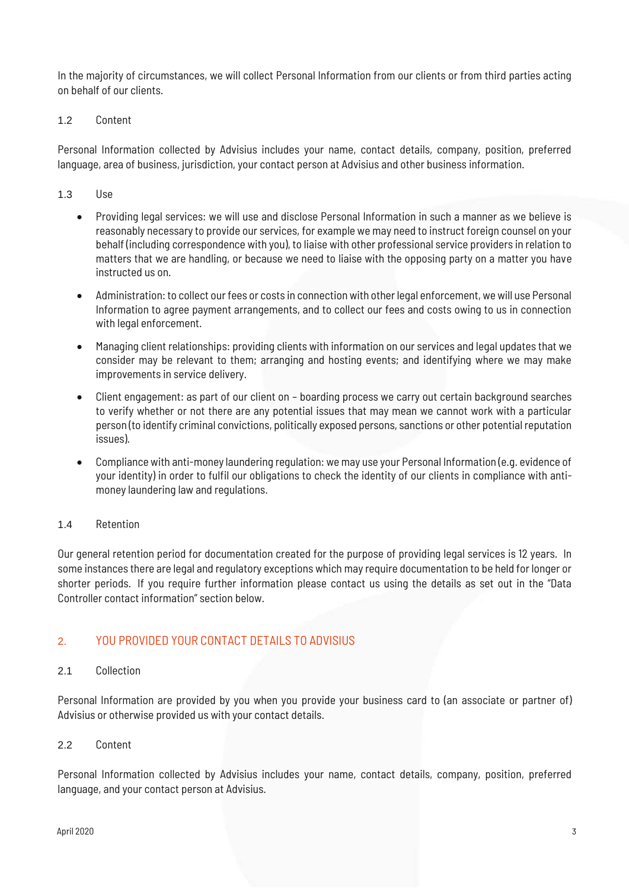In the majority of circumstances, we will collect Personal Information from our clients or from third parties acting on behalf of our clients.

## 1.2 Content

Personal Information collected by Advisius includes your name, contact details, company, position, preferred language, area of business, jurisdiction, your contact person at Advisius and other business information.

#### 1.3 Use

- Providing legal services: we will use and disclose Personal Information in such a manner as we believe is reasonably necessary to provide our services, for example we may need to instruct foreign counsel on your behalf (including correspondence with you), to liaise with other professional service providers in relation to matters that we are handling, or because we need to liaise with the opposing party on a matter you have instructed us on.
- Administration: to collect our fees or costs in connection with other legal enforcement, we will use Personal Information to agree payment arrangements, and to collect our fees and costs owing to us in connection with legal enforcement.
- Managing client relationships: providing clients with information on our services and legal updates that we consider may be relevant to them; arranging and hosting events; and identifying where we may make improvements in service delivery.
- Client engagement: as part of our client on boarding process we carry out certain background searches to verify whether or not there are any potential issues that may mean we cannot work with a particular person (to identify criminal convictions, politically exposed persons, sanctions or other potential reputation issues).
- Compliance with anti-money laundering regulation: we may use your Personal Information (e.g. evidence of your identity) in order to fulfil our obligations to check the identity of our clients in compliance with antimoney laundering law and regulations.

#### 1.4 Retention

Our general retention period for documentation created for the purpose of providing legal services is 12 years. In some instances there are legal and regulatory exceptions which may require documentation to be held for longer or shorter periods. If you require further information please contact us using the details as set out in the "Data Controller contact information" section below.

# 2. YOU PROVIDED YOUR CONTACT DETAILS TO ADVISIUS

# 2.1 Collection

Personal Information are provided by you when you provide your business card to (an associate or partner of) Advisius or otherwise provided us with your contact details.

#### 2.2 Content

Personal Information collected by Advisius includes your name, contact details, company, position, preferred language, and your contact person at Advisius.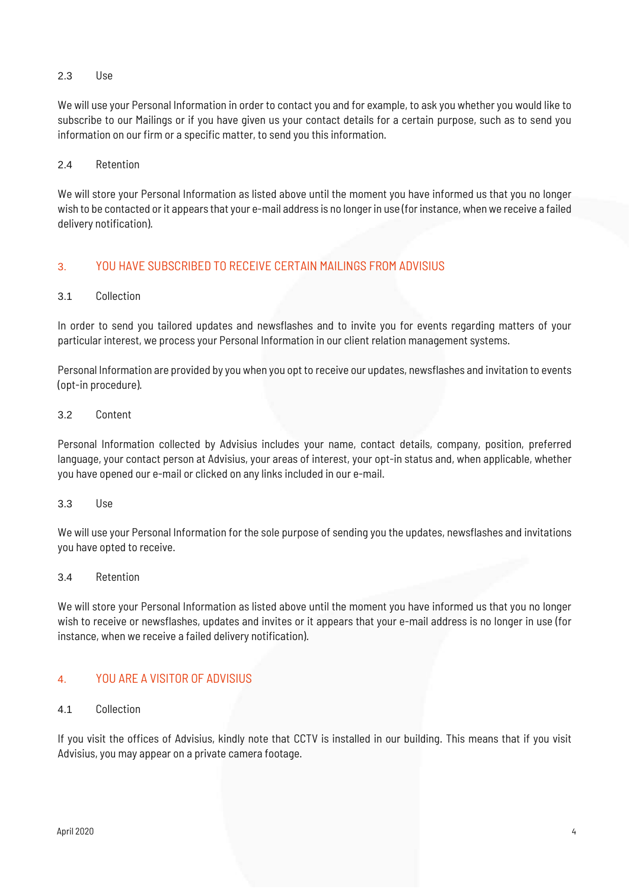# 2.3 Use

We will use your Personal Information in order to contact you and for example, to ask you whether you would like to subscribe to our Mailings or if you have given us your contact details for a certain purpose, such as to send you information on our firm or a specific matter, to send you this information.

#### 2.4 Retention

We will store your Personal Information as listed above until the moment you have informed us that you no longer wish to be contacted or it appears that your e-mail address is no longer in use (for instance, when we receive a failed delivery notification).

# 3. YOU HAVE SUBSCRIBED TO RECEIVE CERTAIN MAILINGS FROM ADVISIUS

## 3.1 Collection

In order to send you tailored updates and newsflashes and to invite you for events regarding matters of your particular interest, we process your Personal Information in our client relation management systems.

Personal Information are provided by you when you opt to receive our updates, newsflashes and invitation to events (opt-in procedure).

#### 3.2 Content

Personal Information collected by Advisius includes your name, contact details, company, position, preferred language, your contact person at Advisius, your areas of interest, your opt-in status and, when applicable, whether you have opened our e-mail or clicked on any links included in our e-mail.

#### 3.3 Use

We will use your Personal Information for the sole purpose of sending you the updates, newsflashes and invitations you have opted to receive.

#### 3.4 Retention

We will store your Personal Information as listed above until the moment you have informed us that you no longer wish to receive or newsflashes, updates and invites or it appears that your e-mail address is no longer in use (for instance, when we receive a failed delivery notification).

# 4. YOU ARE A VISITOR OF ADVISIUS

#### 4.1 Collection

If you visit the offices of Advisius, kindly note that CCTV is installed in our building. This means that if you visit Advisius, you may appear on a private camera footage.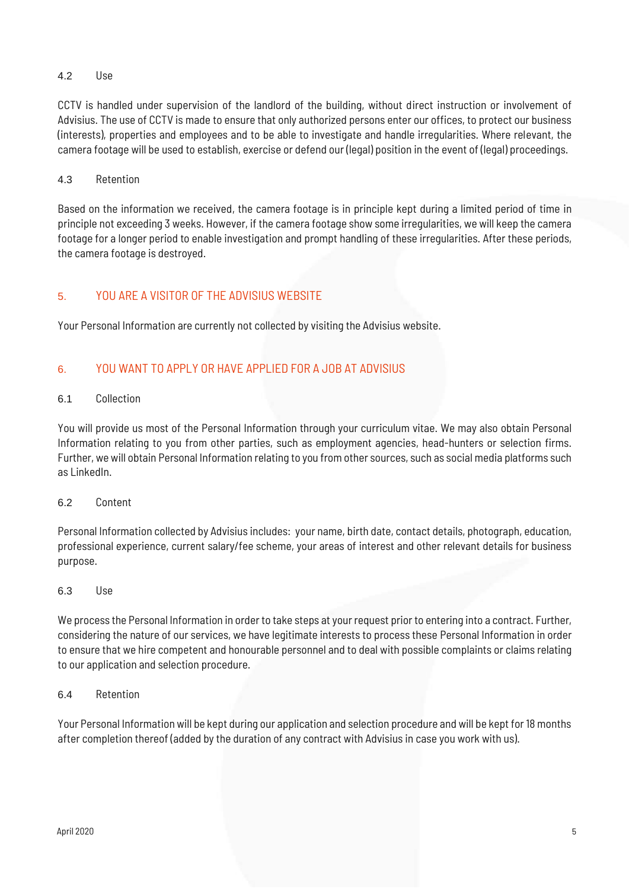# 4.2 Use

CCTV is handled under supervision of the landlord of the building, without direct instruction or involvement of Advisius. The use of CCTV is made to ensure that only authorized persons enter our offices, to protect our business (interests), properties and employees and to be able to investigate and handle irregularities. Where relevant, the camera footage will be used to establish, exercise or defend our (legal) position in the event of (legal) proceedings.

# 4.3 Retention

Based on the information we received, the camera footage is in principle kept during a limited period of time in principle not exceeding 3 weeks. However, if the camera footage show some irregularities, we will keep the camera footage for a longer period to enable investigation and prompt handling of these irregularities. After these periods, the camera footage is destroyed.

# 5. YOU ARE A VISITOR OF THE ADVISIUS WEBSITE

Your Personal Information are currently not collected by visiting the Advisius website.

# 6. YOU WANT TO APPLY OR HAVE APPLIED FOR A JOB AT ADVISIUS

# 6.1 Collection

You will provide us most of the Personal Information through your curriculum vitae. We may also obtain Personal Information relating to you from other parties, such as employment agencies, head-hunters or selection firms. Further, we will obtain Personal Information relating to you from other sources, such as social media platforms such as LinkedIn.

# 6.2 Content

Personal Information collected by Advisius includes: your name, birth date, contact details, photograph, education, professional experience, current salary/fee scheme, your areas of interest and other relevant details for business purpose.

#### 6.3 Use

We process the Personal Information in order to take steps at your request prior to entering into a contract. Further, considering the nature of our services, we have legitimate interests to process these Personal Information in order to ensure that we hire competent and honourable personnel and to deal with possible complaints or claims relating to our application and selection procedure.

# 6.4 Retention

Your Personal Information will be kept during our application and selection procedure and will be kept for 18 months after completion thereof (added by the duration of any contract with Advisius in case you work with us).